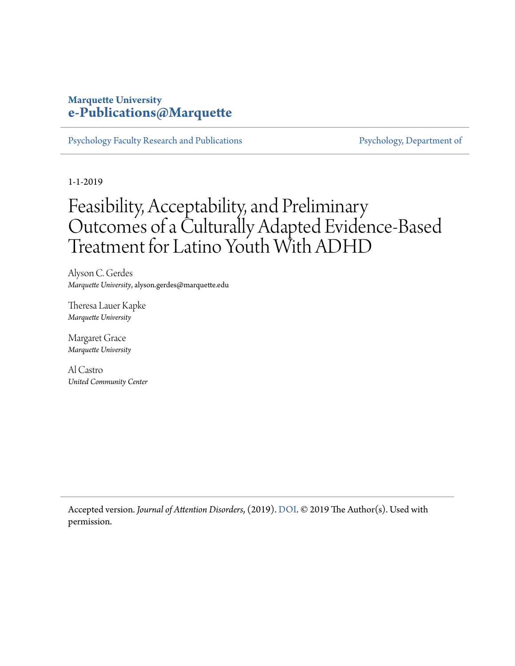## **Marquette University [e-Publications@Marquette](https://epublications.marquette.edu/)**

[Psychology Faculty Research and Publications](https://epublications.marquette.edu/psych_fac) [Psychology, Department of](https://epublications.marquette.edu/psychology)

1-1-2019

## Feasibility, Acceptability, and Preliminary Outcomes of a Culturally Adapted Evidence-Based Treatment for Latino Youth With ADHD

Alyson C. Gerdes *Marquette University*, alyson.gerdes@marquette.edu

Theresa Lauer Kapke *Marquette University*

Margaret Grace *Marquette University*

Al Castro *United Community Center*

Accepted version. *Journal of Attention Disorders*, (2019). [DOI.](https://doi.org/10.1177/1087054718821729) © 2019 The Author(s). Used with permission.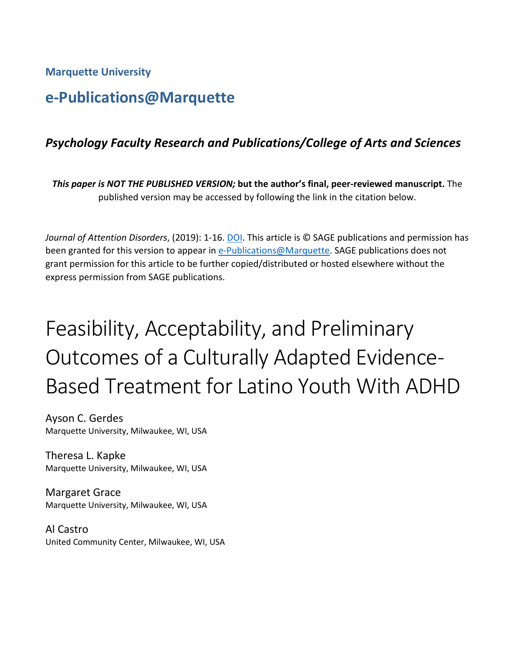**Marquette University**

## **e-Publications@Marquette**

## *Psychology Faculty Research and Publications/College of Arts and Sciences*

*This paper is NOT THE PUBLISHED VERSION;* **but the author's final, peer-reviewed manuscript.** The published version may be accessed by following the link in the citation below.

*Journal of Attention Disorders*, (2019): 1-16. DOI. This article is © SAGE publications and permission has been granted for this version to appear in [e-Publications@Marquette.](http://epublications.marquette.edu/) SAGE publications does not grant permission for this article to be further copied/distributed or hosted elsewhere without the express permission from SAGE publications.

# Feasibility, Acceptability, and Preliminary Outcomes of a Culturally Adapted Evidence-Based Treatment for Latino Youth With ADHD

Ayson C. Gerdes Marquette University, Milwaukee, WI, USA

Theresa L. Kapke Marquette University, Milwaukee, WI, USA

Margaret Grace Marquette University, Milwaukee, WI, USA

Al Castro United Community Center, Milwaukee, WI, USA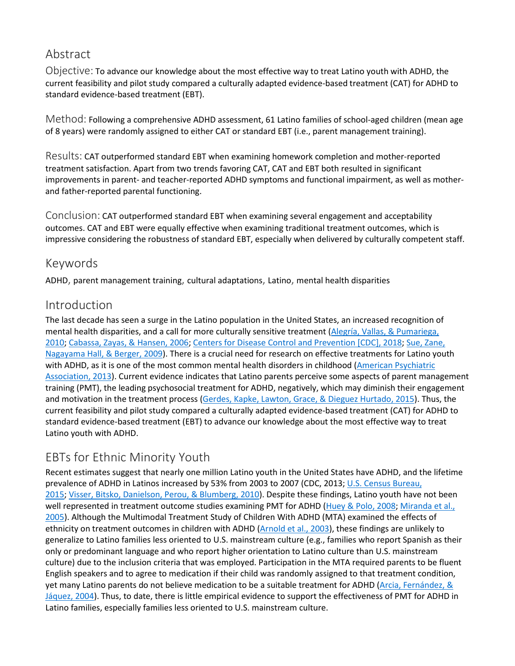## Abstract

Objective: To advance our knowledge about the most effective way to treat Latino youth with ADHD, the current feasibility and pilot study compared a culturally adapted evidence-based treatment (CAT) for ADHD to standard evidence-based treatment (EBT).

Method: Following a comprehensive ADHD assessment, 61 Latino families of school-aged children (mean age of 8 years) were randomly assigned to either CAT or standard EBT (i.e., parent management training).

Results: CAT outperformed standard EBT when examining homework completion and mother-reported treatment satisfaction. Apart from two trends favoring CAT, CAT and EBT both resulted in significant improvements in parent- and teacher-reported ADHD symptoms and functional impairment, as well as motherand father-reported parental functioning.

Conclusion: CAT outperformed standard EBT when examining several engagement and acceptability outcomes. CAT and EBT were equally effective when examining traditional treatment outcomes, which is impressive considering the robustness of standard EBT, especially when delivered by culturally competent staff.

## Keywords

ADHD, parent management training, cultural adaptations, Latino, mental health disparities

## Introduction

The last decade has seen a surge in the Latino population in the United States, an increased recognition of mental health disparities, and a call for more culturally sensitive treatment [\(Alegría, Vallas, & Pumariega,](https://journals.sagepub.com/doi/10.1177/1087054718821729)  [2010;](https://journals.sagepub.com/doi/10.1177/1087054718821729) [Cabassa, Zayas, & Hansen, 2006;](https://journals.sagepub.com/doi/10.1177/1087054718821729) [Centers for Disease Control and Prevention \[CDC\], 2018;](https://journals.sagepub.com/doi/10.1177/1087054718821729) [Sue, Zane,](https://journals.sagepub.com/doi/10.1177/1087054718821729)  [Nagayama Hall, & Berger, 2009\)](https://journals.sagepub.com/doi/10.1177/1087054718821729). There is a crucial need for research on effective treatments for Latino youth with ADHD, as it is one of the most common mental health disorders in childhood (American Psychiatric [Association, 2013\)](https://journals.sagepub.com/doi/10.1177/1087054718821729). Current evidence indicates that Latino parents perceive some aspects of parent management training (PMT), the leading psychosocial treatment for ADHD, negatively, which may diminish their engagement and motivation in the treatment process [\(Gerdes, Kapke, Lawton, Grace, & Dieguez Hurtado, 2015\)](https://journals.sagepub.com/doi/10.1177/1087054718821729). Thus, the current feasibility and pilot study compared a culturally adapted evidence-based treatment (CAT) for ADHD to standard evidence-based treatment (EBT) to advance our knowledge about the most effective way to treat Latino youth with ADHD.

## EBTs for Ethnic Minority Youth

Recent estimates suggest that nearly one million Latino youth in the United States have ADHD, and the lifetime prevalence of ADHD in Latinos increased by 53% from 2003 to 2007 (CDC, 2013; [U.S. Census Bureau,](https://journals.sagepub.com/doi/10.1177/1087054718821729)  [2015;](https://journals.sagepub.com/doi/10.1177/1087054718821729) [Visser, Bitsko, Danielson, Perou, & Blumberg, 2010\)](https://journals.sagepub.com/doi/10.1177/1087054718821729). Despite these findings, Latino youth have not been well represented in treatment outcome studies examining PMT for ADHD [\(Huey & Polo, 2008;](https://journals.sagepub.com/doi/10.1177/1087054718821729) Miranda et al., [2005\)](https://journals.sagepub.com/doi/10.1177/1087054718821729). Although the Multimodal Treatment Study of Children With ADHD (MTA) examined the effects of ethnicity on treatment outcomes in children with ADHD [\(Arnold et al., 2003\)](https://journals.sagepub.com/doi/10.1177/1087054718821729), these findings are unlikely to generalize to Latino families less oriented to U.S. mainstream culture (e.g., families who report Spanish as their only or predominant language and who report higher orientation to Latino culture than U.S. mainstream culture) due to the inclusion criteria that was employed. Participation in the MTA required parents to be fluent English speakers and to agree to medication if their child was randomly assigned to that treatment condition, yet many Latino parents do not believe medication to be a suitable treatment for ADHD [\(Arcia, Fernández, &](https://journals.sagepub.com/doi/10.1177/1087054718821729)  [Jáquez, 2004\)](https://journals.sagepub.com/doi/10.1177/1087054718821729). Thus, to date, there is little empirical evidence to support the effectiveness of PMT for ADHD in Latino families, especially families less oriented to U.S. mainstream culture.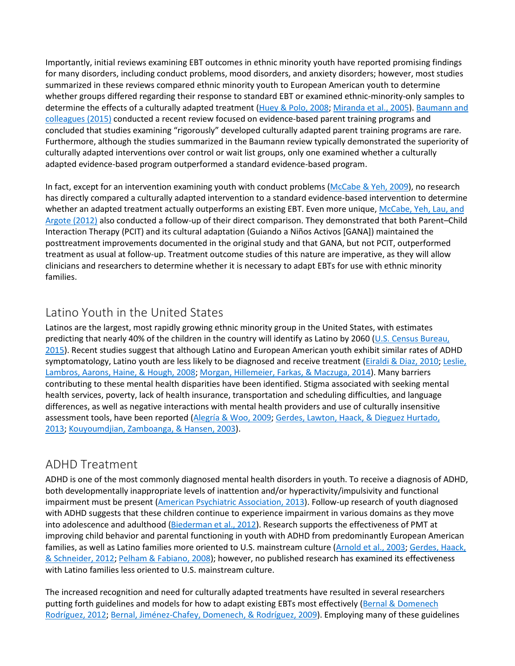Importantly, initial reviews examining EBT outcomes in ethnic minority youth have reported promising findings for many disorders, including conduct problems, mood disorders, and anxiety disorders; however, most studies summarized in these reviews compared ethnic minority youth to European American youth to determine whether groups differed regarding their response to standard EBT or examined ethnic-minority-only samples to determine the effects of a culturally adapted treatment [\(Huey & Polo, 2008;](https://journals.sagepub.com/doi/10.1177/1087054718821729) [Miranda et al., 2005\)](https://journals.sagepub.com/doi/10.1177/1087054718821729). [Baumann and](https://journals.sagepub.com/doi/10.1177/1087054718821729)  [colleagues \(2015\)](https://journals.sagepub.com/doi/10.1177/1087054718821729) conducted a recent review focused on evidence-based parent training programs and concluded that studies examining "rigorously" developed culturally adapted parent training programs are rare. Furthermore, although the studies summarized in the Baumann review typically demonstrated the superiority of culturally adapted interventions over control or wait list groups, only one examined whether a culturally adapted evidence-based program outperformed a standard evidence-based program.

In fact, except for an intervention examining youth with conduct problems [\(McCabe & Yeh, 2009\)](https://journals.sagepub.com/doi/10.1177/1087054718821729), no research has directly compared a culturally adapted intervention to a standard evidence-based intervention to determine whether an adapted treatment actually outperforms an existing EBT. Even more unique, McCabe, Yeh, Lau, and [Argote \(2012\)](https://journals.sagepub.com/doi/10.1177/1087054718821729) also conducted a follow-up of their direct comparison. They demonstrated that both Parent–Child Interaction Therapy (PCIT) and its cultural adaptation (Guiando a Niños Activos [GANA]) maintained the posttreatment improvements documented in the original study and that GANA, but not PCIT, outperformed treatment as usual at follow-up. Treatment outcome studies of this nature are imperative, as they will allow clinicians and researchers to determine whether it is necessary to adapt EBTs for use with ethnic minority families.

## Latino Youth in the United States

Latinos are the largest, most rapidly growing ethnic minority group in the United States, with estimates predicting that nearly 40% of the children in the country will identify as Latino by 2060 [\(U.S. Census Bureau,](https://journals.sagepub.com/doi/10.1177/1087054718821729)  [2015\)](https://journals.sagepub.com/doi/10.1177/1087054718821729). Recent studies suggest that although Latino and European American youth exhibit similar rates of ADHD symptomatology, Latino youth are less likely to be diagnosed and receive treatment [\(Eiraldi & Diaz, 2010;](https://journals.sagepub.com/doi/10.1177/1087054718821729) [Leslie,](https://journals.sagepub.com/doi/10.1177/1087054718821729)  [Lambros, Aarons, Haine, & Hough, 2008;](https://journals.sagepub.com/doi/10.1177/1087054718821729) [Morgan, Hillemeier, Farkas, & Maczuga, 2014\)](https://journals.sagepub.com/doi/10.1177/1087054718821729). Many barriers contributing to these mental health disparities have been identified. Stigma associated with seeking mental health services, poverty, lack of health insurance, transportation and scheduling difficulties, and language differences, as well as negative interactions with mental health providers and use of culturally insensitive assessment tools, have been reported [\(Alegría & Woo, 2009;](https://journals.sagepub.com/doi/10.1177/1087054718821729) [Gerdes, Lawton, Haack, & Dieguez Hurtado,](https://journals.sagepub.com/doi/10.1177/1087054718821729)  [2013;](https://journals.sagepub.com/doi/10.1177/1087054718821729) [Kouyoumdjian, Zamboanga, & Hansen, 2003\)](https://journals.sagepub.com/doi/10.1177/1087054718821729).

## ADHD Treatment

ADHD is one of the most commonly diagnosed mental health disorders in youth. To receive a diagnosis of ADHD, both developmentally inappropriate levels of inattention and/or hyperactivity/impulsivity and functional impairment must be present [\(American Psychiatric Association, 2013\)](https://journals.sagepub.com/doi/10.1177/1087054718821729). Follow-up research of youth diagnosed with ADHD suggests that these children continue to experience impairment in various domains as they move into adolescence and adulthood [\(Biederman et al., 2012\)](https://journals.sagepub.com/doi/10.1177/1087054718821729). Research supports the effectiveness of PMT at improving child behavior and parental functioning in youth with ADHD from predominantly European American families, as well as Latino families more oriented to U.S. mainstream culture [\(Arnold et al., 2003;](https://journals.sagepub.com/doi/10.1177/1087054718821729) [Gerdes, Haack,](https://journals.sagepub.com/doi/10.1177/1087054718821729)  [& Schneider, 2012;](https://journals.sagepub.com/doi/10.1177/1087054718821729) [Pelham & Fabiano, 2008\)](https://journals.sagepub.com/doi/10.1177/1087054718821729); however, no published research has examined its effectiveness with Latino families less oriented to U.S. mainstream culture.

The increased recognition and need for culturally adapted treatments have resulted in several researchers putting forth guidelines and models for how to adapt existing EBTs most effectively [\(Bernal & Domenech](https://journals.sagepub.com/doi/10.1177/1087054718821729)  [Rodríguez, 2012;](https://journals.sagepub.com/doi/10.1177/1087054718821729) [Bernal, Jiménez-Chafey, Domenech, & Rodríguez, 2009\)](https://journals.sagepub.com/doi/10.1177/1087054718821729). Employing many of these guidelines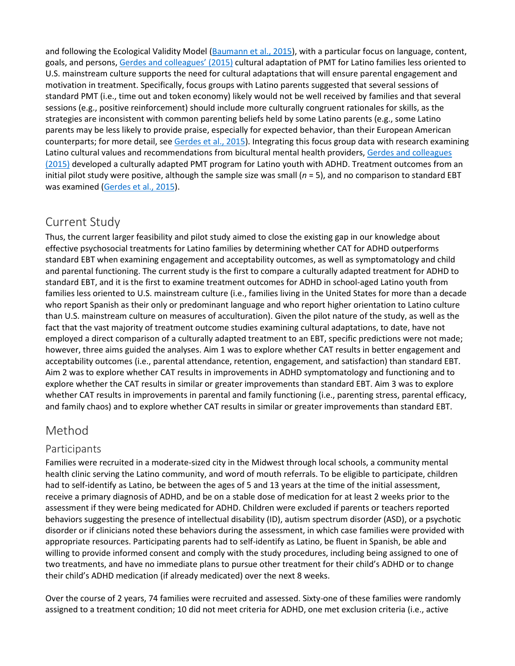and following the Ecological Validity Model [\(Baumann et al., 2015\)](https://journals.sagepub.com/doi/10.1177/1087054718821729), with a particular focus on language, content, goals, and persons, [Gerdes and colleagues' \(2015\)](https://journals.sagepub.com/doi/10.1177/1087054718821729) cultural adaptation of PMT for Latino families less oriented to U.S. mainstream culture supports the need for cultural adaptations that will ensure parental engagement and motivation in treatment. Specifically, focus groups with Latino parents suggested that several sessions of standard PMT (i.e., time out and token economy) likely would not be well received by families and that several sessions (e.g., positive reinforcement) should include more culturally congruent rationales for skills, as the strategies are inconsistent with common parenting beliefs held by some Latino parents (e.g., some Latino parents may be less likely to provide praise, especially for expected behavior, than their European American counterparts; for more detail, see [Gerdes et al., 2015\)](https://journals.sagepub.com/doi/10.1177/1087054718821729). Integrating this focus group data with research examining Latino cultural values and recommendations from bicultural mental health providers, Gerdes and colleagues [\(2015\)](https://journals.sagepub.com/doi/10.1177/1087054718821729) developed a culturally adapted PMT program for Latino youth with ADHD. Treatment outcomes from an initial pilot study were positive, although the sample size was small (*n* = 5), and no comparison to standard EBT was examined [\(Gerdes et al., 2015\)](https://journals.sagepub.com/doi/10.1177/1087054718821729).

## Current Study

Thus, the current larger feasibility and pilot study aimed to close the existing gap in our knowledge about effective psychosocial treatments for Latino families by determining whether CAT for ADHD outperforms standard EBT when examining engagement and acceptability outcomes, as well as symptomatology and child and parental functioning. The current study is the first to compare a culturally adapted treatment for ADHD to standard EBT, and it is the first to examine treatment outcomes for ADHD in school-aged Latino youth from families less oriented to U.S. mainstream culture (i.e., families living in the United States for more than a decade who report Spanish as their only or predominant language and who report higher orientation to Latino culture than U.S. mainstream culture on measures of acculturation). Given the pilot nature of the study, as well as the fact that the vast majority of treatment outcome studies examining cultural adaptations, to date, have not employed a direct comparison of a culturally adapted treatment to an EBT, specific predictions were not made; however, three aims guided the analyses. Aim 1 was to explore whether CAT results in better engagement and acceptability outcomes (i.e., parental attendance, retention, engagement, and satisfaction) than standard EBT. Aim 2 was to explore whether CAT results in improvements in ADHD symptomatology and functioning and to explore whether the CAT results in similar or greater improvements than standard EBT. Aim 3 was to explore whether CAT results in improvements in parental and family functioning (i.e., parenting stress, parental efficacy, and family chaos) and to explore whether CAT results in similar or greater improvements than standard EBT.

## Method

#### Participants

Families were recruited in a moderate-sized city in the Midwest through local schools, a community mental health clinic serving the Latino community, and word of mouth referrals. To be eligible to participate, children had to self-identify as Latino, be between the ages of 5 and 13 years at the time of the initial assessment, receive a primary diagnosis of ADHD, and be on a stable dose of medication for at least 2 weeks prior to the assessment if they were being medicated for ADHD. Children were excluded if parents or teachers reported behaviors suggesting the presence of intellectual disability (ID), autism spectrum disorder (ASD), or a psychotic disorder or if clinicians noted these behaviors during the assessment, in which case families were provided with appropriate resources. Participating parents had to self-identify as Latino, be fluent in Spanish, be able and willing to provide informed consent and comply with the study procedures, including being assigned to one of two treatments, and have no immediate plans to pursue other treatment for their child's ADHD or to change their child's ADHD medication (if already medicated) over the next 8 weeks.

Over the course of 2 years, 74 families were recruited and assessed. Sixty-one of these families were randomly assigned to a treatment condition; 10 did not meet criteria for ADHD, one met exclusion criteria (i.e., active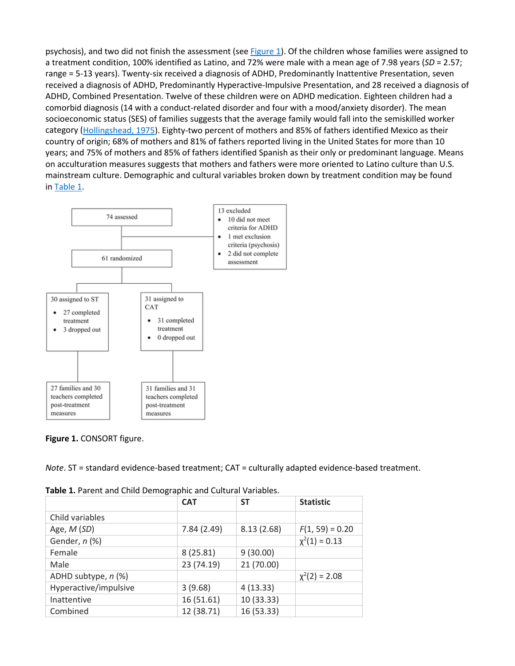psychosis), and two did not finish the assessment (see [Figure 1\)](https://journals.sagepub.com/doi/10.1177/1087054718821729). Of the children whose families were assigned to a treatment condition, 100% identified as Latino, and 72% were male with a mean age of 7.98 years (*SD* = 2.57; range = 5-13 years). Twenty-six received a diagnosis of ADHD, Predominantly Inattentive Presentation, seven received a diagnosis of ADHD, Predominantly Hyperactive-Impulsive Presentation, and 28 received a diagnosis of ADHD, Combined Presentation. Twelve of these children were on ADHD medication. Eighteen children had a comorbid diagnosis (14 with a conduct-related disorder and four with a mood/anxiety disorder). The mean socioeconomic status (SES) of families suggests that the average family would fall into the semiskilled worker category [\(Hollingshead, 1975\)](https://journals.sagepub.com/doi/10.1177/1087054718821729). Eighty-two percent of mothers and 85% of fathers identified Mexico as their country of origin; 68% of mothers and 81% of fathers reported living in the United States for more than 10 years; and 75% of mothers and 85% of fathers identified Spanish as their only or predominant language. Means on acculturation measures suggests that mothers and fathers were more oriented to Latino culture than U.S. mainstream culture. Demographic and cultural variables broken down by treatment condition may be found in [Table 1.](https://journals.sagepub.com/doi/10.1177/1087054718821729)



**Figure 1.** CONSORT figure.

*Note*. ST = standard evidence-based treatment; CAT = culturally adapted evidence-based treatment.

|                       | <b>CAT</b> | <b>ST</b>  | <b>Statistic</b>   |
|-----------------------|------------|------------|--------------------|
| Child variables       |            |            |                    |
| Age, M (SD)           | 7.84(2.49) | 8.13(2.68) | $F(1, 59) = 0.20$  |
| Gender, n (%)         |            |            | $\chi^2(1) = 0.13$ |
| Female                | 8(25.81)   | 9(30.00)   |                    |
| Male                  | 23 (74.19) | 21 (70.00) |                    |
| ADHD subtype, n (%)   |            |            | $\chi^2(2) = 2.08$ |
| Hyperactive/impulsive | 3(9.68)    | 4(13.33)   |                    |
| Inattentive           | 16(51.61)  | 10 (33.33) |                    |
| Combined              | 12 (38.71) | 16 (53.33) |                    |

**Table 1.** Parent and Child Demographic and Cultural Variables.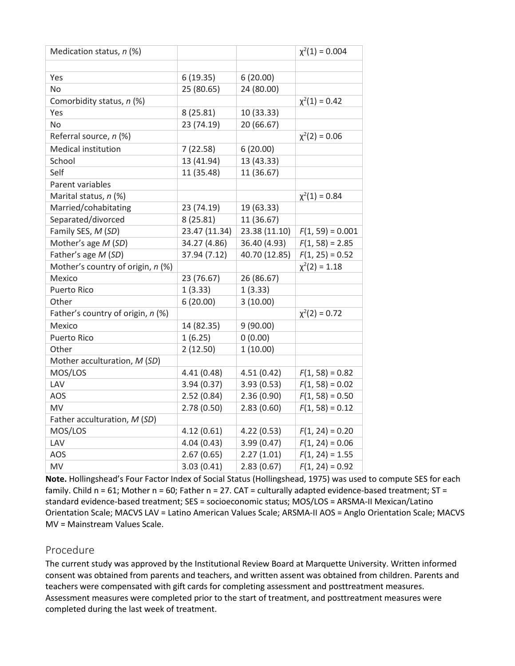| Medication status, n (%)          |               |               | $\chi^2(1) = 0.004$ |
|-----------------------------------|---------------|---------------|---------------------|
|                                   |               |               |                     |
| Yes                               | 6(19.35)      | 6(20.00)      |                     |
| No                                | 25 (80.65)    | 24 (80.00)    |                     |
| Comorbidity status, n (%)         |               |               | $\chi^2(1) = 0.42$  |
| Yes                               | 8 (25.81)     | 10 (33.33)    |                     |
| No                                | 23 (74.19)    | 20 (66.67)    |                     |
| Referral source, n (%)            |               |               | $\chi^2(2) = 0.06$  |
| <b>Medical institution</b>        | 7(22.58)      | 6(20.00)      |                     |
| School                            | 13 (41.94)    | 13 (43.33)    |                     |
| Self                              | 11 (35.48)    | 11 (36.67)    |                     |
| Parent variables                  |               |               |                     |
| Marital status, n (%)             |               |               | $\chi^2(1) = 0.84$  |
| Married/cohabitating              | 23 (74.19)    | 19 (63.33)    |                     |
| Separated/divorced                | 8(25.81)      | 11 (36.67)    |                     |
| Family SES, M (SD)                | 23.47 (11.34) | 23.38 (11.10) | $F(1, 59) = 0.001$  |
| Mother's age M (SD)               | 34.27 (4.86)  | 36.40 (4.93)  | $F(1, 58) = 2.85$   |
| Father's age M (SD)               | 37.94 (7.12)  | 40.70 (12.85) | $F(1, 25) = 0.52$   |
| Mother's country of origin, n (%) |               |               | $\chi^2(2) = 1.18$  |
| Mexico                            | 23 (76.67)    | 26 (86.67)    |                     |
| <b>Puerto Rico</b>                | 1(3.33)       | 1(3.33)       |                     |
| Other                             | 6(20.00)      | 3(10.00)      |                     |
| Father's country of origin, n (%) |               |               | $\chi^2(2) = 0.72$  |
| Mexico                            | 14 (82.35)    | 9(90.00)      |                     |
| Puerto Rico                       | 1(6.25)       | 0(0.00)       |                     |
| Other                             | 2(12.50)      | 1(10.00)      |                     |
| Mother acculturation, M (SD)      |               |               |                     |
| MOS/LOS                           | 4.41 (0.48)   | 4.51(0.42)    | $F(1, 58) = 0.82$   |
| LAV                               | 3.94(0.37)    | 3.93(0.53)    | $F(1, 58) = 0.02$   |
| AOS                               | 2.52(0.84)    | 2.36(0.90)    | $F(1, 58) = 0.50$   |
| <b>MV</b>                         | 2.78(0.50)    | 2.83(0.60)    | $F(1, 58) = 0.12$   |
| Father acculturation, M (SD)      |               |               |                     |
| MOS/LOS                           | 4.12(0.61)    | 4.22(0.53)    | $F(1, 24) = 0.20$   |
| LAV                               | 4.04(0.43)    | 3.99(0.47)    | $F(1, 24) = 0.06$   |
| AOS                               | 2.67(0.65)    | 2.27(1.01)    | $F(1, 24) = 1.55$   |
| <b>MV</b>                         | 3.03(0.41)    | 2.83(0.67)    | $F(1, 24) = 0.92$   |

**Note.** Hollingshead's Four Factor Index of Social Status (Hollingshead, 1975) was used to compute SES for each family. Child  $n = 61$ ; Mother  $n = 60$ ; Father  $n = 27$ . CAT = culturally adapted evidence-based treatment; ST = standard evidence-based treatment; SES = socioeconomic status; MOS/LOS = ARSMA-II Mexican/Latino Orientation Scale; MACVS LAV = Latino American Values Scale; ARSMA-II AOS = Anglo Orientation Scale; MACVS MV = Mainstream Values Scale.

#### Procedure

The current study was approved by the Institutional Review Board at Marquette University. Written informed consent was obtained from parents and teachers, and written assent was obtained from children. Parents and teachers were compensated with gift cards for completing assessment and posttreatment measures. Assessment measures were completed prior to the start of treatment, and posttreatment measures were completed during the last week of treatment.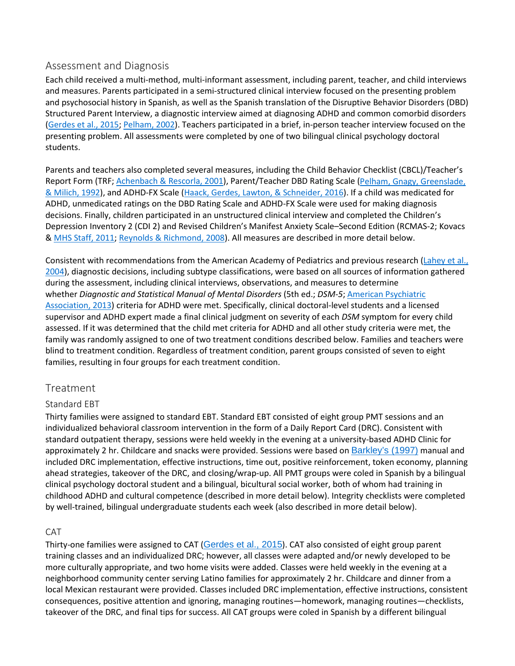#### Assessment and Diagnosis

Each child received a multi-method, multi-informant assessment, including parent, teacher, and child interviews and measures. Parents participated in a semi-structured clinical interview focused on the presenting problem and psychosocial history in Spanish, as well as the Spanish translation of the Disruptive Behavior Disorders (DBD) Structured Parent Interview, a diagnostic interview aimed at diagnosing ADHD and common comorbid disorders [\(Gerdes et al., 2015;](https://journals.sagepub.com/doi/10.1177/1087054718821729) [Pelham, 2002\)](https://journals.sagepub.com/doi/10.1177/1087054718821729). Teachers participated in a brief, in-person teacher interview focused on the presenting problem. All assessments were completed by one of two bilingual clinical psychology doctoral students.

Parents and teachers also completed several measures, including the Child Behavior Checklist (CBCL)/Teacher's Report Form (TRF; [Achenbach & Rescorla, 2001\)](https://journals.sagepub.com/doi/10.1177/1087054718821729), Parent/Teacher DBD Rating Scale [\(Pelham, Gnagy, Greenslade,](https://journals.sagepub.com/doi/10.1177/1087054718821729)  [& Milich, 1992\)](https://journals.sagepub.com/doi/10.1177/1087054718821729), and ADHD-FX Scale [\(Haack, Gerdes, Lawton, & Schneider, 2016\)](https://journals.sagepub.com/doi/10.1177/1087054718821729). If a child was medicated for ADHD, unmedicated ratings on the DBD Rating Scale and ADHD-FX Scale were used for making diagnosis decisions. Finally, children participated in an unstructured clinical interview and completed the Children's Depression Inventory 2 (CDI 2) and Revised Children's Manifest Anxiety Scale–Second Edition (RCMAS-2; Kovacs & [MHS Staff, 2011;](https://journals.sagepub.com/doi/10.1177/1087054718821729) [Reynolds & Richmond, 2008\)](https://journals.sagepub.com/doi/10.1177/1087054718821729). All measures are described in more detail below.

Consistent with recommendations from the American Academy of Pediatrics and previous research [\(Lahey et al.,](https://journals.sagepub.com/doi/10.1177/1087054718821729)  [2004\)](https://journals.sagepub.com/doi/10.1177/1087054718821729), diagnostic decisions, including subtype classifications, were based on all sources of information gathered during the assessment, including clinical interviews, observations, and measures to determine whether *Diagnostic and Statistical Manual of Mental Disorders* (5th ed.; *DSM-5*; [American Psychiatric](https://journals.sagepub.com/doi/10.1177/1087054718821729)  [Association, 2013\)](https://journals.sagepub.com/doi/10.1177/1087054718821729) criteria for ADHD were met. Specifically, clinical doctoral-level students and a licensed supervisor and ADHD expert made a final clinical judgment on severity of each *DSM* symptom for every child assessed. If it was determined that the child met criteria for ADHD and all other study criteria were met, the family was randomly assigned to one of two treatment conditions described below. Families and teachers were blind to treatment condition. Regardless of treatment condition, parent groups consisted of seven to eight families, resulting in four groups for each treatment condition.

#### Treatment

#### Standard EBT

Thirty families were assigned to standard EBT. Standard EBT consisted of eight group PMT sessions and an individualized behavioral classroom intervention in the form of a Daily Report Card (DRC). Consistent with standard outpatient therapy, sessions were held weekly in the evening at a university-based ADHD Clinic for approximately 2 hr. Childcare and snacks were provided. Sessions were based on [Barkley's \(1997\)](https://journals.sagepub.com/doi/10.1177/1087054718821729) manual and included DRC implementation, effective instructions, time out, positive reinforcement, token economy, planning ahead strategies, takeover of the DRC, and closing/wrap-up. All PMT groups were coled in Spanish by a bilingual clinical psychology doctoral student and a bilingual, bicultural social worker, both of whom had training in childhood ADHD and cultural competence (described in more detail below). Integrity checklists were completed by well-trained, bilingual undergraduate students each week (also described in more detail below).

#### CAT

Thirty-one families were assigned to CAT ([Gerdes et al., 2015](https://journals.sagepub.com/doi/10.1177/1087054718821729)). CAT also consisted of eight group parent training classes and an individualized DRC; however, all classes were adapted and/or newly developed to be more culturally appropriate, and two home visits were added. Classes were held weekly in the evening at a neighborhood community center serving Latino families for approximately 2 hr. Childcare and dinner from a local Mexican restaurant were provided. Classes included DRC implementation, effective instructions, consistent consequences, positive attention and ignoring, managing routines—homework, managing routines—checklists, takeover of the DRC, and final tips for success. All CAT groups were coled in Spanish by a different bilingual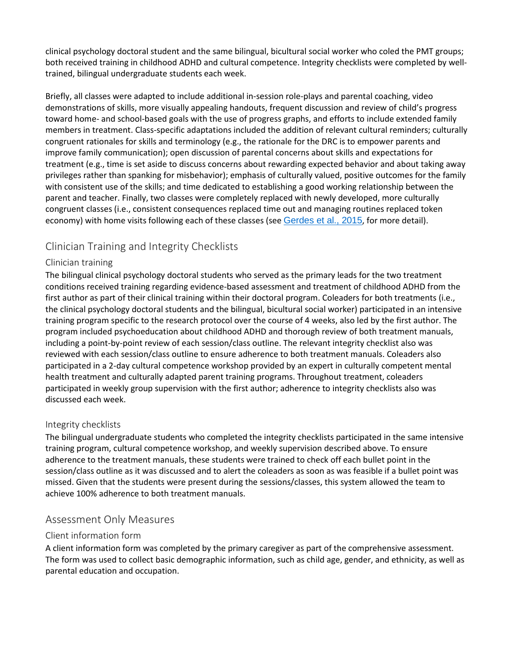clinical psychology doctoral student and the same bilingual, bicultural social worker who coled the PMT groups; both received training in childhood ADHD and cultural competence. Integrity checklists were completed by welltrained, bilingual undergraduate students each week.

Briefly, all classes were adapted to include additional in-session role-plays and parental coaching, video demonstrations of skills, more visually appealing handouts, frequent discussion and review of child's progress toward home- and school-based goals with the use of progress graphs, and efforts to include extended family members in treatment. Class-specific adaptations included the addition of relevant cultural reminders; culturally congruent rationales for skills and terminology (e.g., the rationale for the DRC is to empower parents and improve family communication); open discussion of parental concerns about skills and expectations for treatment (e.g., time is set aside to discuss concerns about rewarding expected behavior and about taking away privileges rather than spanking for misbehavior); emphasis of culturally valued, positive outcomes for the family with consistent use of the skills; and time dedicated to establishing a good working relationship between the parent and teacher. Finally, two classes were completely replaced with newly developed, more culturally congruent classes (i.e., consistent consequences replaced time out and managing routines replaced token economy) with home visits following each of these classes (see [Gerdes et al., 2015](https://journals.sagepub.com/doi/10.1177/1087054718821729), for more detail).

#### Clinician Training and Integrity Checklists

#### Clinician training

The bilingual clinical psychology doctoral students who served as the primary leads for the two treatment conditions received training regarding evidence-based assessment and treatment of childhood ADHD from the first author as part of their clinical training within their doctoral program. Coleaders for both treatments (i.e., the clinical psychology doctoral students and the bilingual, bicultural social worker) participated in an intensive training program specific to the research protocol over the course of 4 weeks, also led by the first author. The program included psychoeducation about childhood ADHD and thorough review of both treatment manuals, including a point-by-point review of each session/class outline. The relevant integrity checklist also was reviewed with each session/class outline to ensure adherence to both treatment manuals. Coleaders also participated in a 2-day cultural competence workshop provided by an expert in culturally competent mental health treatment and culturally adapted parent training programs. Throughout treatment, coleaders participated in weekly group supervision with the first author; adherence to integrity checklists also was discussed each week.

#### Integrity checklists

The bilingual undergraduate students who completed the integrity checklists participated in the same intensive training program, cultural competence workshop, and weekly supervision described above. To ensure adherence to the treatment manuals, these students were trained to check off each bullet point in the session/class outline as it was discussed and to alert the coleaders as soon as was feasible if a bullet point was missed. Given that the students were present during the sessions/classes, this system allowed the team to achieve 100% adherence to both treatment manuals.

#### Assessment Only Measures

#### Client information form

A client information form was completed by the primary caregiver as part of the comprehensive assessment. The form was used to collect basic demographic information, such as child age, gender, and ethnicity, as well as parental education and occupation.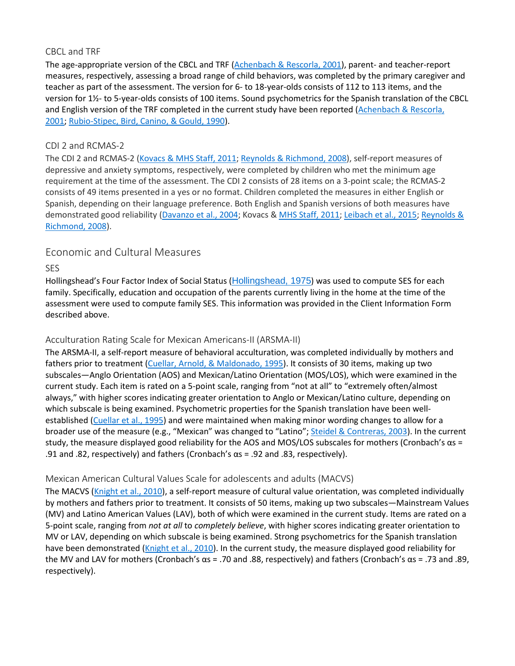#### CBCL and TRF

The age-appropriate version of the CBCL and TRF [\(Achenbach & Rescorla, 2001\)](https://journals.sagepub.com/doi/10.1177/1087054718821729), parent- and teacher-report measures, respectively, assessing a broad range of child behaviors, was completed by the primary caregiver and teacher as part of the assessment. The version for 6- to 18-year-olds consists of 112 to 113 items, and the version for 1½- to 5-year-olds consists of 100 items. Sound psychometrics for the Spanish translation of the CBCL and English version of the TRF completed in the current study have been reported (Achenbach & Rescorla, [2001;](https://journals.sagepub.com/doi/10.1177/1087054718821729) [Rubio-Stipec, Bird, Canino, & Gould, 1990\)](https://journals.sagepub.com/doi/10.1177/1087054718821729).

#### CDI 2 and RCMAS-2

The CDI 2 and RCMAS-2 [\(Kovacs & MHS Staff, 2011;](https://journals.sagepub.com/doi/10.1177/1087054718821729) [Reynolds & Richmond, 2008\)](https://journals.sagepub.com/doi/10.1177/1087054718821729), self-report measures of depressive and anxiety symptoms, respectively, were completed by children who met the minimum age requirement at the time of the assessment. The CDI 2 consists of 28 items on a 3-point scale; the RCMAS-2 consists of 49 items presented in a yes or no format. Children completed the measures in either English or Spanish, depending on their language preference. Both English and Spanish versions of both measures have demonstrated good reliability [\(Davanzo et al., 2004;](https://journals.sagepub.com/doi/10.1177/1087054718821729) Kovacs & [MHS Staff, 2011;](https://journals.sagepub.com/doi/10.1177/1087054718821729) [Leibach et al., 2015;](https://journals.sagepub.com/doi/10.1177/1087054718821729) Reynolds & [Richmond, 2008\)](https://journals.sagepub.com/doi/10.1177/1087054718821729).

#### Economic and Cultural Measures

#### SES

Hollingshead's Four Factor Index of Social Status ([Hollingshead, 1975](https://journals.sagepub.com/doi/10.1177/1087054718821729)) was used to compute SES for each family. Specifically, education and occupation of the parents currently living in the home at the time of the assessment were used to compute family SES. This information was provided in the Client Information Form described above.

#### Acculturation Rating Scale for Mexican Americans-II (ARSMA-II)

The ARSMA-II, a self-report measure of behavioral acculturation, was completed individually by mothers and fathers prior to treatment (Cuellar, [Arnold, & Maldonado, 1995\)](https://journals.sagepub.com/doi/10.1177/1087054718821729). It consists of 30 items, making up two subscales—Anglo Orientation (AOS) and Mexican/Latino Orientation (MOS/LOS), which were examined in the current study. Each item is rated on a 5-point scale, ranging from "not at all" to "extremely often/almost always," with higher scores indicating greater orientation to Anglo or Mexican/Latino culture, depending on which subscale is being examined. Psychometric properties for the Spanish translation have been well-established [\(Cuellar et al., 1995\)](https://journals.sagepub.com/doi/10.1177/1087054718821729) and were maintained when making minor wording changes to allow for a broader use of the measure (e.g., "Mexican" was changed to "Latino"; [Steidel & Contreras, 2003\)](https://journals.sagepub.com/doi/10.1177/1087054718821729). In the current study, the measure displayed good reliability for the AOS and MOS/LOS subscales for mothers (Cronbach's αs = .91 and .82, respectively) and fathers (Cronbach's αs = .92 and .83, respectively).

#### Mexican American Cultural Values Scale for adolescents and adults (MACVS)

The MACVS [\(Knight et al., 2010\)](https://journals.sagepub.com/doi/10.1177/1087054718821729), a self-report measure of cultural value orientation, was completed individually by mothers and fathers prior to treatment. It consists of 50 items, making up two subscales—Mainstream Values (MV) and Latino American Values (LAV), both of which were examined in the current study. Items are rated on a 5-point scale, ranging from *not at all* to *completely believe*, with higher scores indicating greater orientation to MV or LAV, depending on which subscale is being examined. Strong psychometrics for the Spanish translation have been demonstrated [\(Knight et al., 2010\)](https://journals.sagepub.com/doi/10.1177/1087054718821729). In the current study, the measure displayed good reliability for the MV and LAV for mothers (Cronbach's αs = .70 and .88, respectively) and fathers (Cronbach's αs = .73 and .89, respectively).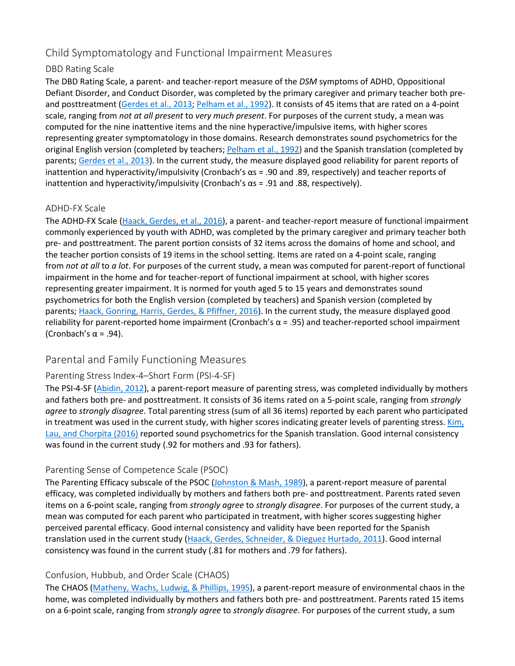#### Child Symptomatology and Functional Impairment Measures

#### DBD Rating Scale

The DBD Rating Scale, a parent- and teacher-report measure of the *DSM* symptoms of ADHD, Oppositional Defiant Disorder, and Conduct Disorder, was completed by the primary caregiver and primary teacher both preand posttreatment [\(Gerdes et al., 2013;](https://journals.sagepub.com/doi/10.1177/1087054718821729) [Pelham et al., 1992\)](https://journals.sagepub.com/doi/10.1177/1087054718821729). It consists of 45 items that are rated on a 4-point scale, ranging from *not at all present* to *very much present*. For purposes of the current study, a mean was computed for the nine inattentive items and the nine hyperactive/impulsive items, with higher scores representing greater symptomatology in those domains. Research demonstrates sound psychometrics for the original English version (completed by teachers; Pelham [et al., 1992\)](https://journals.sagepub.com/doi/10.1177/1087054718821729) and the Spanish translation (completed by parents; [Gerdes et al., 2013\)](https://journals.sagepub.com/doi/10.1177/1087054718821729). In the current study, the measure displayed good reliability for parent reports of inattention and hyperactivity/impulsivity (Cronbach's αs = .90 and .89, respectively) and teacher reports of inattention and hyperactivity/impulsivity (Cronbach's αs = .91 and .88, respectively).

#### ADHD-FX Scale

The ADHD-FX Scale [\(Haack, Gerdes, et al., 2016\)](https://journals.sagepub.com/doi/10.1177/1087054718821729), a parent- and teacher-report measure of functional impairment commonly experienced by youth with ADHD, was completed by the primary caregiver and primary teacher both pre- and posttreatment. The parent portion consists of 32 items across the domains of home and school, and the teacher portion consists of 19 items in the school setting. Items are rated on a 4-point scale, ranging from *not at all* to *a lot*. For purposes of the current study, a mean was computed for parent-report of functional impairment in the home and for teacher-report of functional impairment at school, with higher scores representing greater impairment. It is normed for youth aged 5 to 15 years and demonstrates sound psychometrics for both the English version (completed by teachers) and Spanish version (completed by parents; [Haack, Gonring, Harris, Gerdes, & Pfiffner, 2016\)](https://journals.sagepub.com/doi/10.1177/1087054718821729). In the current study, the measure displayed good reliability for parent-reported home impairment (Cronbach's  $\alpha$  = .95) and teacher-reported school impairment (Cronbach's  $\alpha$  = .94).

#### Parental and Family Functioning Measures

#### Parenting Stress Index-4–Short Form (PSI-4-SF)

The PSI-4-SF [\(Abidin, 2012\)](https://journals.sagepub.com/doi/10.1177/1087054718821729), a parent-report measure of parenting stress, was completed individually by mothers and fathers both pre- and posttreatment. It consists of 36 items rated on a 5-point scale, ranging from *strongly agree* to *strongly disagree*. Total parenting stress (sum of all 36 items) reported by each parent who participated in treatment was used in the current study, with higher scores indicating greater levels of parenting stress. Kim, [Lau, and Chorpita \(2016\)](https://journals.sagepub.com/doi/10.1177/1087054718821729) reported sound psychometrics for the Spanish translation. Good internal consistency was found in the current study (.92 for mothers and .93 for fathers).

#### Parenting Sense of Competence Scale (PSOC)

The Parenting Efficacy subscale of the PSOC [\(Johnston & Mash, 1989\)](https://journals.sagepub.com/doi/10.1177/1087054718821729), a parent-report measure of parental efficacy, was completed individually by mothers and fathers both pre- and posttreatment. Parents rated seven items on a 6-point scale, ranging from *strongly agree* to *strongly disagree*. For purposes of the current study, a mean was computed for each parent who participated in treatment, with higher scores suggesting higher perceived parental efficacy. Good internal consistency and validity have been reported for the Spanish translation used in the current study (Haack, [Gerdes, Schneider, & Dieguez Hurtado, 2011\)](https://journals.sagepub.com/doi/10.1177/1087054718821729). Good internal consistency was found in the current study (.81 for mothers and .79 for fathers).

#### Confusion, Hubbub, and Order Scale (CHAOS)

The CHAOS [\(Matheny, Wachs, Ludwig, & Phillips, 1995\)](https://journals.sagepub.com/doi/10.1177/1087054718821729), a parent-report measure of environmental chaos in the home, was completed individually by mothers and fathers both pre- and posttreatment. Parents rated 15 items on a 6-point scale, ranging from *strongly agree* to *strongly disagree*. For purposes of the current study, a sum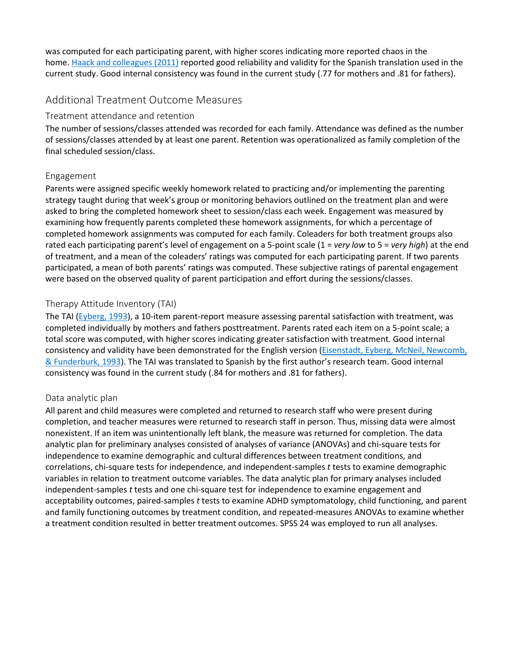was computed for each participating parent, with higher scores indicating more reported chaos in the home. [Haack and colleagues \(2011\)](https://journals.sagepub.com/doi/10.1177/1087054718821729) reported good reliability and validity for the Spanish translation used in the current study. Good internal consistency was found in the current study (.77 for mothers and .81 for fathers).

#### Additional Treatment Outcome Measures

#### Treatment attendance and retention

The number of sessions/classes attended was recorded for each family. Attendance was defined as the number of sessions/classes attended by at least one parent. Retention was operationalized as family completion of the final scheduled session/class.

#### Engagement

Parents were assigned specific weekly homework related to practicing and/or implementing the parenting strategy taught during that week's group or monitoring behaviors outlined on the treatment plan and were asked to bring the completed homework sheet to session/class each week. Engagement was measured by examining how frequently parents completed these homework assignments, for which a percentage of completed homework assignments was computed for each family. Coleaders for both treatment groups also rated each participating parent's level of engagement on a 5-point scale (1 = *very low* to 5 = *very high*) at the end of treatment, and a mean of the coleaders' ratings was computed for each participating parent. If two parents participated, a mean of both parents' ratings was computed. These subjective ratings of parental engagement were based on the observed quality of parent participation and effort during the sessions/classes.

#### Therapy Attitude Inventory (TAI)

The TAI [\(Eyberg, 1993\)](https://journals.sagepub.com/doi/10.1177/1087054718821729), a 10-item parent-report measure assessing parental satisfaction with treatment, was completed individually by mothers and fathers posttreatment. Parents rated each item on a 5-point scale; a total score was computed, with higher scores indicating greater satisfaction with treatment. Good internal consistency and validity have been demonstrated for the English version [\(Eisenstadt, Eyberg, McNeil, Newcomb,](https://journals.sagepub.com/doi/10.1177/1087054718821729)  [& Funderburk, 1993\)](https://journals.sagepub.com/doi/10.1177/1087054718821729). The TAI was translated to Spanish by the first author's research team. Good internal consistency was found in the current study (.84 for mothers and .81 for fathers).

#### Data analytic plan

All parent and child measures were completed and returned to research staff who were present during completion, and teacher measures were returned to research staff in person. Thus, missing data were almost nonexistent. If an item was unintentionally left blank, the measure was returned for completion. The data analytic plan for preliminary analyses consisted of analyses of variance (ANOVAs) and chi-square tests for independence to examine demographic and cultural differences between treatment conditions, and correlations, chi-square tests for independence, and independent-samples *t* tests to examine demographic variables in relation to treatment outcome variables. The data analytic plan for primary analyses included independent-samples *t* tests and one chi-square test for independence to examine engagement and acceptability outcomes, paired-samples *t* tests to examine ADHD symptomatology, child functioning, and parent and family functioning outcomes by treatment condition, and repeated-measures ANOVAs to examine whether a treatment condition resulted in better treatment outcomes. SPSS 24 was employed to run all analyses.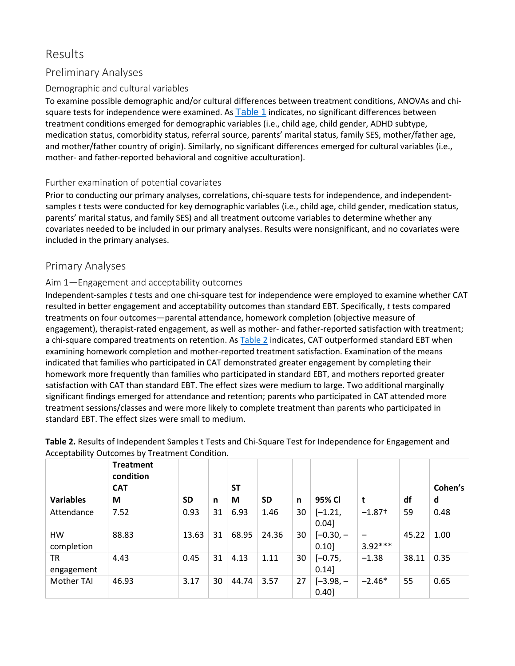## Results

#### Preliminary Analyses

#### Demographic and cultural variables

To examine possible demographic and/or cultural differences between treatment conditions, ANOVAs and chi-square tests for independence were examined. As [Table 1](https://journals.sagepub.com/doi/10.1177/1087054718821729) indicates, no significant differences between treatment conditions emerged for demographic variables (i.e., child age, child gender, ADHD subtype, medication status, comorbidity status, referral source, parents' marital status, family SES, mother/father age, and mother/father country of origin). Similarly, no significant differences emerged for cultural variables (i.e., mother- and father-reported behavioral and cognitive acculturation).

#### Further examination of potential covariates

Prior to conducting our primary analyses, correlations, chi-square tests for independence, and independentsamples *t* tests were conducted for key demographic variables (i.e., child age, child gender, medication status, parents' marital status, and family SES) and all treatment outcome variables to determine whether any covariates needed to be included in our primary analyses. Results were nonsignificant, and no covariates were included in the primary analyses.

#### Primary Analyses

#### Aim 1—Engagement and acceptability outcomes

Independent-samples *t* tests and one chi-square test for independence were employed to examine whether CAT resulted in better engagement and acceptability outcomes than standard EBT. Specifically, *t* tests compared treatments on four outcomes—parental attendance, homework completion (objective measure of engagement), therapist-rated engagement, as well as mother- and father-reported satisfaction with treatment; a chi-square compared treatments on retention. As [Table 2](https://journals.sagepub.com/doi/10.1177/1087054718821729) indicates, CAT outperformed standard EBT when examining homework completion and mother-reported treatment satisfaction. Examination of the means indicated that families who participated in CAT demonstrated greater engagement by completing their homework more frequently than families who participated in standard EBT, and mothers reported greater satisfaction with CAT than standard EBT. The effect sizes were medium to large. Two additional marginally significant findings emerged for attendance and retention; parents who participated in CAT attended more treatment sessions/classes and were more likely to complete treatment than parents who participated in standard EBT. The effect sizes were small to medium.

**Table 2.** Results of Independent Samples t Tests and Chi-Square Test for Independence for Engagement and Acceptability Outcomes by Treatment Condition.

|                   | <b>Treatment</b><br>condition |           |    |           |           |    |                       |                      |       |         |
|-------------------|-------------------------------|-----------|----|-----------|-----------|----|-----------------------|----------------------|-------|---------|
|                   | <b>CAT</b>                    |           |    | <b>ST</b> |           |    |                       |                      |       | Cohen's |
| <b>Variables</b>  | M                             | <b>SD</b> | n  | M         | <b>SD</b> | n  | 95% CI                | t                    | df    | d       |
| Attendance        | 7.52                          | 0.93      | 31 | 6.93      | 1.46      | 30 | $[-1.21,$<br>$0.04$ ] | $-1.87$ <sup>+</sup> | 59    | 0.48    |
| HW<br>completion  | 88.83                         | 13.63     | 31 | 68.95     | 24.36     | 30 | $[-0.30, -]$<br>0.10  | $3.92***$            | 45.22 | 1.00    |
| ΤR<br>engagement  | 4.43                          | 0.45      | 31 | 4.13      | 1.11      | 30 | $[-0.75,$<br>0.14     | $-1.38$              | 38.11 | 0.35    |
| <b>Mother TAI</b> | 46.93                         | 3.17      | 30 | 44.74     | 3.57      | 27 | $[-3.98,-]$<br>0.40   | $-2.46*$             | 55    | 0.65    |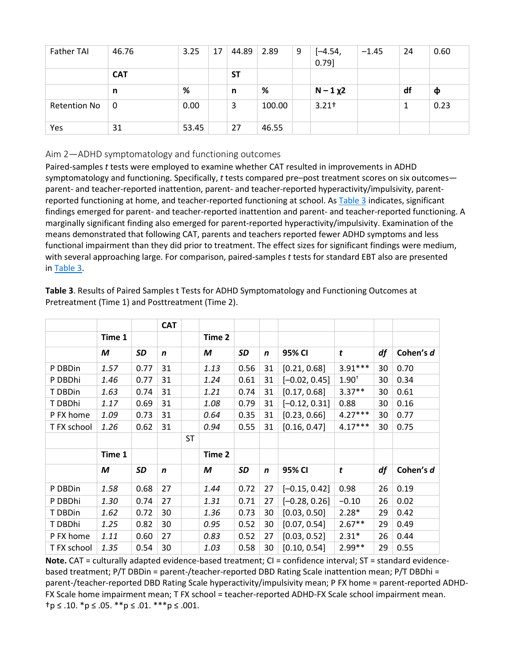| <b>Father TAI</b>   | 46.76      | 3.25  | 17 | 44.89     | 2.89   | 9 | $[-4.54,$<br>0.79] | $-1.45$ | 24 | 0.60 |
|---------------------|------------|-------|----|-----------|--------|---|--------------------|---------|----|------|
|                     | <b>CAT</b> |       |    | <b>ST</b> |        |   |                    |         |    |      |
|                     | n          | %     |    | n         | %      |   | $N-1 \chi 2$       |         | df | Φ    |
| <b>Retention No</b> | 0          | 0.00  |    | 3         | 100.00 |   | $3.21+$            |         | 1  | 0.23 |
| Yes                 | 31         | 53.45 |    | 27        | 46.55  |   |                    |         |    |      |

#### Aim 2—ADHD symptomatology and functioning outcomes

Paired-samples *t* tests were employed to examine whether CAT resulted in improvements in ADHD symptomatology and functioning. Specifically, *t* tests compared pre–post treatment scores on six outcomes parent- and teacher-reported inattention, parent- and teacher-reported hyperactivity/impulsivity, parentreported functioning at home, and teacher-reported functioning at school. As [Table 3](https://journals.sagepub.com/doi/10.1177/1087054718821729) indicates, significant findings emerged for parent- and teacher-reported inattention and parent- and teacher-reported functioning. A marginally significant finding also emerged for parent-reported hyperactivity/impulsivity. Examination of the means demonstrated that following CAT, parents and teachers reported fewer ADHD symptoms and less functional impairment than they did prior to treatment. The effect sizes for significant findings were medium, with several approaching large. For comparison, paired-samples *t* tests for standard EBT also are presented in [Table 3.](https://journals.sagepub.com/doi/10.1177/1087054718821729)

**Table 3**. Results of Paired Samples t Tests for ADHD Symptomatology and Functioning Outcomes at Pretreatment (Time 1) and Posttreatment (Time 2).

|             |        |           | <b>CAT</b>  |           |        |           |             |                 |            |    |           |
|-------------|--------|-----------|-------------|-----------|--------|-----------|-------------|-----------------|------------|----|-----------|
|             | Time 1 |           |             |           | Time 2 |           |             |                 |            |    |           |
|             | M      | SD        | $\mathbf n$ |           | M      | SD        | $\mathbf n$ | 95% CI          | t          | df | Cohen's d |
| P DBDin     | 1.57   | 0.77      | 31          |           | 1.13   | 0.56      | 31          | [0.21, 0.68]    | $3.91***$  | 30 | 0.70      |
| P DBDhi     | 1.46   | 0.77      | 31          |           | 1.24   | 0.61      | 31          | $[-0.02, 0.45]$ | $1.90^{+}$ | 30 | 0.34      |
| T DBDin     | 1.63   | 0.74      | 31          |           | 1.21   | 0.74      | 31          | [0.17, 0.68]    | $3.37**$   | 30 | 0.61      |
| T DBDhi     | 1.17   | 0.69      | 31          |           | 1.08   | 0.79      | 31          | $[-0.12, 0.31]$ | 0.88       | 30 | 0.16      |
| P FX home   | 1.09   | 0.73      | 31          |           | 0.64   | 0.35      | 31          | [0.23, 0.66]    | $4.27***$  | 30 | 0.77      |
| T FX school | 1.26   | 0.62      | 31          |           | 0.94   | 0.55      | 31          | [0.16, 0.47]    | $4.17***$  | 30 | 0.75      |
|             |        |           |             | <b>ST</b> |        |           |             |                 |            |    |           |
|             | Time 1 |           |             |           | Time 2 |           |             |                 |            |    |           |
|             | M      | <b>SD</b> | $\mathbf n$ |           | M      | <b>SD</b> | $\mathbf n$ | 95% CI          | t          | df | Cohen's d |
| P DBDin     | 1.58   | 0.68      | 27          |           | 1.44   | 0.72      | 27          | $[-0.15, 0.42]$ | 0.98       | 26 | 0.19      |
| P DBDhi     | 1.30   | 0.74      | 27          |           | 1.31   | 0.71      | 27          | $[-0.28, 0.26]$ | $-0.10$    | 26 | 0.02      |
| T DBDin     | 1.62   | 0.72      | 30          |           | 1.36   | 0.73      | 30          | [0.03, 0.50]    | $2.28*$    | 29 | 0.42      |
| T DBDhi     | 1.25   | 0.82      | 30          |           | 0.95   | 0.52      | 30          | [0.07, 0.54]    | $2.67**$   | 29 | 0.49      |
| P FX home   | 1.11   | 0.60      | 27          |           | 0.83   | 0.52      | 27          | [0.03, 0.52]    | $2.31*$    | 26 | 0.44      |
| T FX school | 1.35   | 0.54      | 30          |           | 1.03   | 0.58      | 30          | [0.10, 0.54]    | $2.99**$   | 29 | 0.55      |

**Note.** CAT = culturally adapted evidence-based treatment; CI = confidence interval; ST = standard evidencebased treatment; P/T DBDin = parent-/teacher-reported DBD Rating Scale inattention mean; P/T DBDhi = parent-/teacher-reported DBD Rating Scale hyperactivity/impulsivity mean; P FX home = parent-reported ADHD-FX Scale home impairment mean; T FX school = teacher-reported ADHD-FX Scale school impairment mean. †p ≤ .10. \*p ≤ .05. \*\*p ≤ .01. \*\*\*p ≤ .001.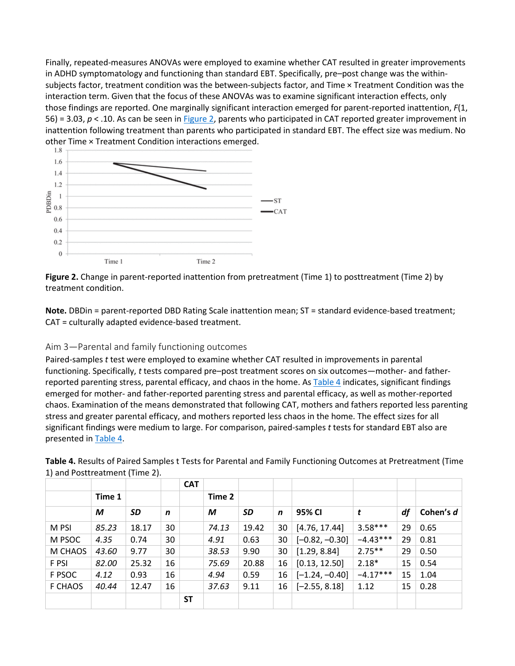Finally, repeated-measures ANOVAs were employed to examine whether CAT resulted in greater improvements in ADHD symptomatology and functioning than standard EBT. Specifically, pre–post change was the withinsubjects factor, treatment condition was the between-subjects factor, and Time × Treatment Condition was the interaction term. Given that the focus of these ANOVAs was to examine significant interaction effects, only those findings are reported. One marginally significant interaction emerged for parent-reported inattention, *F*(1, 56) = 3.03, *p* < .10. As can be seen in [Figure 2,](https://journals.sagepub.com/doi/10.1177/1087054718821729) parents who participated in CAT reported greater improvement in inattention following treatment than parents who participated in standard EBT. The effect size was medium. No other Time × Treatment Condition interactions emerged.



**Figure 2.** Change in parent-reported inattention from pretreatment (Time 1) to posttreatment (Time 2) by treatment condition.

**Note.** DBDin = parent-reported DBD Rating Scale inattention mean; ST = standard evidence-based treatment; CAT = culturally adapted evidence-based treatment.

#### Aim 3—Parental and family functioning outcomes

Paired-samples *t* test were employed to examine whether CAT resulted in improvements in parental functioning. Specifically, *t* tests compared pre–post treatment scores on six outcomes—mother- and fatherreported parenting stress, parental efficacy, and chaos in the home. As  $Table 4$  indicates, significant findings emerged for mother- and father-reported parenting stress and parental efficacy, as well as mother-reported chaos. Examination of the means demonstrated that following CAT, mothers and fathers reported less parenting stress and greater parental efficacy, and mothers reported less chaos in the home. The effect sizes for all significant findings were medium to large. For comparison, paired-samples *t* tests for standard EBT also are presented in [Table 4.](https://journals.sagepub.com/doi/10.1177/1087054718821729)

|         |        |           |    | <b>CAT</b> |        |           |             |                  |            |    |           |
|---------|--------|-----------|----|------------|--------|-----------|-------------|------------------|------------|----|-----------|
|         | Time 1 |           |    |            | Time 2 |           |             |                  |            |    |           |
|         | M      | <b>SD</b> | n  |            | M      | <b>SD</b> | $\mathbf n$ | 95% CI           | t          | df | Cohen's d |
| M PSI   | 85.23  | 18.17     | 30 |            | 74.13  | 19.42     | 30          | [4.76, 17.44]    | $3.58***$  | 29 | 0.65      |
| M PSOC  | 4.35   | 0.74      | 30 |            | 4.91   | 0.63      | 30          | $[-0.82, -0.30]$ | $-4.43***$ | 29 | 0.81      |
| M CHAOS | 43.60  | 9.77      | 30 |            | 38.53  | 9.90      | 30          | [1.29, 8.84]     | $2.75***$  | 29 | 0.50      |
| F PSI   | 82.00  | 25.32     | 16 |            | 75.69  | 20.88     | 16          | [0.13, 12.50]    | $2.18*$    | 15 | 0.54      |
| F PSOC  | 4.12   | 0.93      | 16 |            | 4.94   | 0.59      | 16          | $[-1.24, -0.40]$ | $-4.17***$ | 15 | 1.04      |
| F CHAOS | 40.44  | 12.47     | 16 |            | 37.63  | 9.11      | 16          | $[-2.55, 8.18]$  | 1.12       | 15 | 0.28      |
|         |        |           |    | <b>ST</b>  |        |           |             |                  |            |    |           |

**Table 4.** Results of Paired Samples t Tests for Parental and Family Functioning Outcomes at Pretreatment (Time 1) and Posttreatment (Time 2).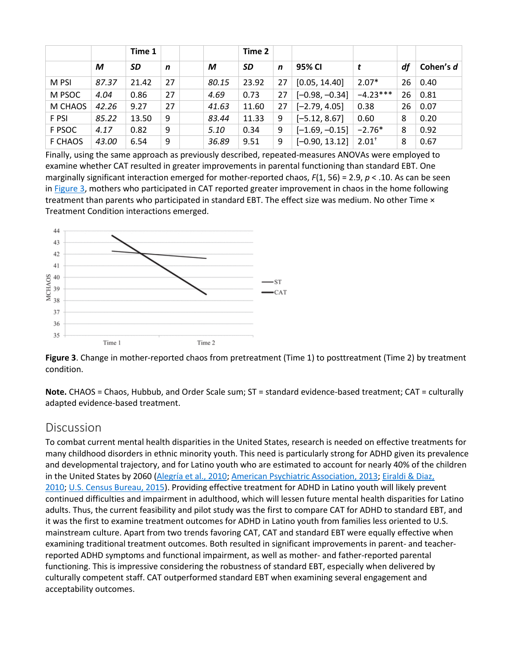|         |       | Time 1 |             |       | Time 2 |    |                  |            |    |           |
|---------|-------|--------|-------------|-------|--------|----|------------------|------------|----|-----------|
|         | M     | SD     | $\mathbf n$ | M     | SD     | n  | 95% CI           | t          | df | Cohen's d |
| M PSI   | 87.37 | 21.42  | 27          | 80.15 | 23.92  | 27 | [0.05, 14.40]    | $2.07*$    | 26 | 0.40      |
| M PSOC  | 4.04  | 0.86   | 27          | 4.69  | 0.73   | 27 | $[-0.98, -0.34]$ | $-4.23***$ | 26 | 0.81      |
| M CHAOS | 42.26 | 9.27   | 27          | 41.63 | 11.60  | 27 | $[-2.79, 4.05]$  | 0.38       | 26 | 0.07      |
| F PSI   | 85.22 | 13.50  | 9           | 83.44 | 11.33  | 9  | $[-5.12, 8.67]$  | 0.60       | 8  | 0.20      |
| F PSOC  | 4.17  | 0.82   | 9           | 5.10  | 0.34   | 9  | $[-1.69, -0.15]$ | $-2.76*$   | 8  | 0.92      |
| F CHAOS | 43.00 | 6.54   | 9           | 36.89 | 9.51   | 9  | $[-0.90, 13.12]$ | $2.01^+$   | 8  | 0.67      |

Finally, using the same approach as previously described, repeated-measures ANOVAs were employed to examine whether CAT resulted in greater improvements in parental functioning than standard EBT. One marginally significant interaction emerged for mother-reported chaos, *F*(1, 56) = 2.9, *p* < .10. As can be seen in [Figure 3,](https://journals.sagepub.com/doi/10.1177/1087054718821729) mothers who participated in CAT reported greater improvement in chaos in the home following treatment than parents who participated in standard EBT. The effect size was medium. No other Time  $\times$ Treatment Condition interactions emerged.



**Figure 3**. Change in mother-reported chaos from pretreatment (Time 1) to posttreatment (Time 2) by treatment condition.

**Note.** CHAOS = Chaos, Hubbub, and Order Scale sum; ST = standard evidence-based treatment; CAT = culturally adapted evidence-based treatment.

## Discussion

To combat current mental health disparities in the United States, research is needed on effective treatments for many childhood disorders in ethnic minority youth. This need is particularly strong for ADHD given its prevalence and developmental trajectory, and for Latino youth who are estimated to account for nearly 40% of the children in the United States by 2060 [\(Alegría et al., 2010;](https://journals.sagepub.com/doi/10.1177/1087054718821729) [American Psychiatric Association, 2013;](https://journals.sagepub.com/doi/10.1177/1087054718821729) [Eiraldi & Diaz,](https://journals.sagepub.com/doi/10.1177/1087054718821729)  [2010;](https://journals.sagepub.com/doi/10.1177/1087054718821729) [U.S. Census Bureau, 2015\)](https://journals.sagepub.com/doi/10.1177/1087054718821729). Providing effective treatment for ADHD in Latino youth will likely prevent continued difficulties and impairment in adulthood, which will lessen future mental health disparities for Latino adults. Thus, the current feasibility and pilot study was the first to compare CAT for ADHD to standard EBT, and it was the first to examine treatment outcomes for ADHD in Latino youth from families less oriented to U.S. mainstream culture. Apart from two trends favoring CAT, CAT and standard EBT were equally effective when examining traditional treatment outcomes. Both resulted in significant improvements in parent- and teacherreported ADHD symptoms and functional impairment, as well as mother- and father-reported parental functioning. This is impressive considering the robustness of standard EBT, especially when delivered by culturally competent staff. CAT outperformed standard EBT when examining several engagement and acceptability outcomes.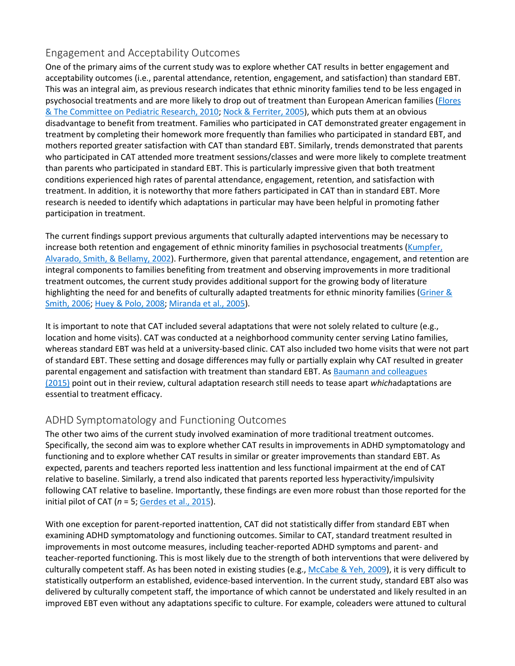## Engagement and Acceptability Outcomes

One of the primary aims of the current study was to explore whether CAT results in better engagement and acceptability outcomes (i.e., parental attendance, retention, engagement, and satisfaction) than standard EBT. This was an integral aim, as previous research indicates that ethnic minority families tend to be less engaged in psychosocial treatments and are more likely to drop out of treatment than European American families [\(Flores](https://journals.sagepub.com/doi/10.1177/1087054718821729)  [& The Committee on Pediatric Research, 2010;](https://journals.sagepub.com/doi/10.1177/1087054718821729) [Nock & Ferriter, 2005\)](https://journals.sagepub.com/doi/10.1177/1087054718821729), which puts them at an obvious disadvantage to benefit from treatment. Families who participated in CAT demonstrated greater engagement in treatment by completing their homework more frequently than families who participated in standard EBT, and mothers reported greater satisfaction with CAT than standard EBT. Similarly, trends demonstrated that parents who participated in CAT attended more treatment sessions/classes and were more likely to complete treatment than parents who participated in standard EBT. This is particularly impressive given that both treatment conditions experienced high rates of parental attendance, engagement, retention, and satisfaction with treatment. In addition, it is noteworthy that more fathers participated in CAT than in standard EBT. More research is needed to identify which adaptations in particular may have been helpful in promoting father participation in treatment.

The current findings support previous arguments that culturally adapted interventions may be necessary to increase both retention and engagement of ethnic minority families in psychosocial treatments (Kumpfer, [Alvarado, Smith, & Bellamy, 2002\)](https://journals.sagepub.com/doi/10.1177/1087054718821729). Furthermore, given that parental attendance, engagement, and retention are integral components to families benefiting from treatment and observing improvements in more traditional treatment outcomes, the current study provides additional support for the growing body of literature highlighting the need for and benefits of culturally adapted treatments for ethnic minority families [\(Griner &](https://journals.sagepub.com/doi/10.1177/1087054718821729)  [Smith, 2006;](https://journals.sagepub.com/doi/10.1177/1087054718821729) [Huey & Polo, 2008;](https://journals.sagepub.com/doi/10.1177/1087054718821729) [Miranda et al., 2005\)](https://journals.sagepub.com/doi/10.1177/1087054718821729).

It is important to note that CAT included several adaptations that were not solely related to culture (e.g., location and home visits). CAT was conducted at a neighborhood community center serving Latino families, whereas standard EBT was held at a university-based clinic. CAT also included two home visits that were not part of standard EBT. These setting and dosage differences may fully or partially explain why CAT resulted in greater parental engagement and satisfaction with treatment than standard EBT. As [Baumann and colleagues](https://journals.sagepub.com/doi/10.1177/1087054718821729)  [\(2015\)](https://journals.sagepub.com/doi/10.1177/1087054718821729) point out in their review, cultural adaptation research still needs to tease apart *which*adaptations are essential to treatment efficacy.

#### ADHD Symptomatology and Functioning Outcomes

The other two aims of the current study involved examination of more traditional treatment outcomes. Specifically, the second aim was to explore whether CAT results in improvements in ADHD symptomatology and functioning and to explore whether CAT results in similar or greater improvements than standard EBT. As expected, parents and teachers reported less inattention and less functional impairment at the end of CAT relative to baseline. Similarly, a trend also indicated that parents reported less hyperactivity/impulsivity following CAT relative to baseline. Importantly, these findings are even more robust than those reported for the initial pilot of CAT (*n* = 5; [Gerdes et al., 2015\)](https://journals.sagepub.com/doi/10.1177/1087054718821729).

With one exception for parent-reported inattention, CAT did not statistically differ from standard EBT when examining ADHD symptomatology and functioning outcomes. Similar to CAT, standard treatment resulted in improvements in most outcome measures, including teacher-reported ADHD symptoms and parent- and teacher-reported functioning. This is most likely due to the strength of both interventions that were delivered by culturally competent staff. As has been noted in existing studies (e.g., [McCabe & Yeh, 2009\)](https://journals.sagepub.com/doi/10.1177/1087054718821729), it is very difficult to statistically outperform an established, evidence-based intervention. In the current study, standard EBT also was delivered by culturally competent staff, the importance of which cannot be understated and likely resulted in an improved EBT even without any adaptations specific to culture. For example, coleaders were attuned to cultural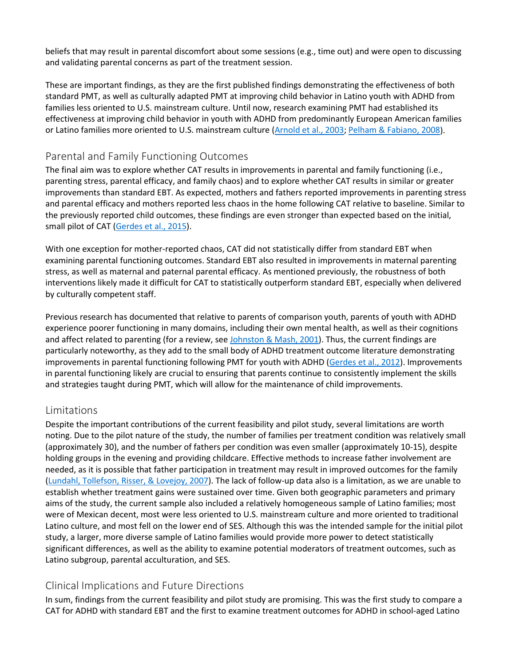beliefs that may result in parental discomfort about some sessions (e.g., time out) and were open to discussing and validating parental concerns as part of the treatment session.

These are important findings, as they are the first published findings demonstrating the effectiveness of both standard PMT, as well as culturally adapted PMT at improving child behavior in Latino youth with ADHD from families less oriented to U.S. mainstream culture. Until now, research examining PMT had established its effectiveness at improving child behavior in youth with ADHD from predominantly European American families or Latino families more oriented to U.S. mainstream culture [\(Arnold et al., 2003;](https://journals.sagepub.com/doi/10.1177/1087054718821729) [Pelham & Fabiano, 2008\)](https://journals.sagepub.com/doi/10.1177/1087054718821729).

#### Parental and Family Functioning Outcomes

The final aim was to explore whether CAT results in improvements in parental and family functioning (i.e., parenting stress, parental efficacy, and family chaos) and to explore whether CAT results in similar or greater improvements than standard EBT. As expected, mothers and fathers reported improvements in parenting stress and parental efficacy and mothers reported less chaos in the home following CAT relative to baseline. Similar to the previously reported child outcomes, these findings are even stronger than expected based on the initial, small pilot of CAT [\(Gerdes et al., 2015\)](https://journals.sagepub.com/doi/10.1177/1087054718821729).

With one exception for mother-reported chaos, CAT did not statistically differ from standard EBT when examining parental functioning outcomes. Standard EBT also resulted in improvements in maternal parenting stress, as well as maternal and paternal parental efficacy. As mentioned previously, the robustness of both interventions likely made it difficult for CAT to statistically outperform standard EBT, especially when delivered by culturally competent staff.

Previous research has documented that relative to parents of comparison youth, parents of youth with ADHD experience poorer functioning in many domains, including their own mental health, as well as their cognitions and affect related to parenting (for a review, see [Johnston & Mash, 2001\)](https://journals.sagepub.com/doi/10.1177/1087054718821729). Thus, the current findings are particularly noteworthy, as they add to the small body of ADHD treatment outcome literature demonstrating improvements in parental functioning following PMT for youth with ADHD [\(Gerdes et al., 2012\)](https://journals.sagepub.com/doi/10.1177/1087054718821729). Improvements in parental functioning likely are crucial to ensuring that parents continue to consistently implement the skills and strategies taught during PMT, which will allow for the maintenance of child improvements.

#### Limitations

Despite the important contributions of the current feasibility and pilot study, several limitations are worth noting. Due to the pilot nature of the study, the number of families per treatment condition was relatively small (approximately 30), and the number of fathers per condition was even smaller (approximately 10-15), despite holding groups in the evening and providing childcare. Effective methods to increase father involvement are needed, as it is possible that father participation in treatment may result in improved outcomes for the family [\(Lundahl, Tollefson, Risser, & Lovejoy, 2007\)](https://journals.sagepub.com/doi/10.1177/1087054718821729). The lack of follow-up data also is a limitation, as we are unable to establish whether treatment gains were sustained over time. Given both geographic parameters and primary aims of the study, the current sample also included a relatively homogeneous sample of Latino families; most were of Mexican decent, most were less oriented to U.S. mainstream culture and more oriented to traditional Latino culture, and most fell on the lower end of SES. Although this was the intended sample for the initial pilot study, a larger, more diverse sample of Latino families would provide more power to detect statistically significant differences, as well as the ability to examine potential moderators of treatment outcomes, such as Latino subgroup, parental acculturation, and SES.

#### Clinical Implications and Future Directions

In sum, findings from the current feasibility and pilot study are promising. This was the first study to compare a CAT for ADHD with standard EBT and the first to examine treatment outcomes for ADHD in school-aged Latino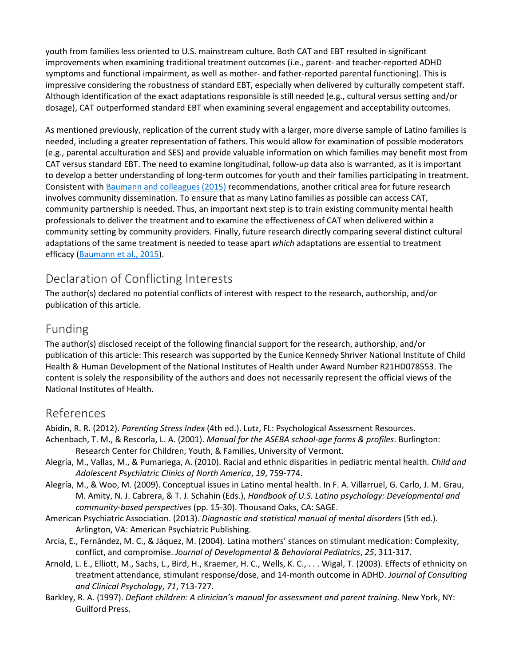youth from families less oriented to U.S. mainstream culture. Both CAT and EBT resulted in significant improvements when examining traditional treatment outcomes (i.e., parent- and teacher-reported ADHD symptoms and functional impairment, as well as mother- and father-reported parental functioning). This is impressive considering the robustness of standard EBT, especially when delivered by culturally competent staff. Although identification of the exact adaptations responsible is still needed (e.g., cultural versus setting and/or dosage), CAT outperformed standard EBT when examining several engagement and acceptability outcomes.

As mentioned previously, replication of the current study with a larger, more diverse sample of Latino families is needed, including a greater representation of fathers. This would allow for examination of possible moderators (e.g., parental acculturation and SES) and provide valuable information on which families may benefit most from CAT versus standard EBT. The need to examine longitudinal, follow-up data also is warranted, as it is important to develop a better understanding of long-term outcomes for youth and their families participating in treatment. Consistent with [Baumann and colleagues \(2015\)](https://journals.sagepub.com/doi/10.1177/1087054718821729) recommendations, another critical area for future research involves community dissemination. To ensure that as many Latino families as possible can access CAT, community partnership is needed. Thus, an important next step is to train existing community mental health professionals to deliver the treatment and to examine the effectiveness of CAT when delivered within a community setting by community providers. Finally, future research directly comparing several distinct cultural adaptations of the same treatment is needed to tease apart *which* adaptations are essential to treatment efficacy [\(Baumann et al., 2015\)](https://journals.sagepub.com/doi/10.1177/1087054718821729).

## Declaration of Conflicting Interests

The author(s) declared no potential conflicts of interest with respect to the research, authorship, and/or publication of this article.

## Funding

The author(s) disclosed receipt of the following financial support for the research, authorship, and/or publication of this article: This research was supported by the Eunice Kennedy Shriver National Institute of Child Health & Human Development of the National Institutes of Health under Award Number R21HD078553. The content is solely the responsibility of the authors and does not necessarily represent the official views of the National Institutes of Health.

#### References

Abidin, R. R. (2012). *Parenting Stress Index* (4th ed.). Lutz, FL: Psychological Assessment Resources.

- Achenbach, T. M., & Rescorla, L. A. (2001). *Manual for the ASEBA school-age forms & profiles*. Burlington: Research Center for Children, Youth, & Families, University of Vermont.
- Alegría, M., Vallas, M., & Pumariega, A. (2010). Racial and ethnic disparities in pediatric mental health. *Child and Adolescent Psychiatric Clinics of North America*, *19*, 759-774.
- Alegría, M., & Woo, M. (2009). Conceptual issues in Latino mental health. In F. A. Villarruel, G. Carlo, J. M. Grau, M. Amity, N. J. Cabrera, & T. J. Schahin (Eds.), *Handbook of U.S. Latino psychology: Developmental and community-based perspectives* (pp. 15-30). Thousand Oaks, CA: SAGE.
- American Psychiatric Association. (2013). *Diagnostic and statistical manual of mental disorders* (5th ed.). Arlington, VA: American Psychiatric Publishing.
- Arcia, E., Fernández, M. C., & Jáquez, M. (2004). Latina mothers' stances on stimulant medication: Complexity, conflict, and compromise. *Journal of Developmental & Behavioral Pediatrics*, *25*, 311-317.
- Arnold, L. E., Elliott, M., Sachs, L., Bird, H., Kraemer, H. C., Wells, K. C., . . . Wigal, T. (2003). Effects of ethnicity on treatment attendance, stimulant response/dose, and 14-month outcome in ADHD. *Journal of Consulting and Clinical Psychology*, *71*, 713-727.
- Barkley, R. A. (1997). *Defiant children: A clinician's manual for assessment and parent training*. New York, NY: Guilford Press.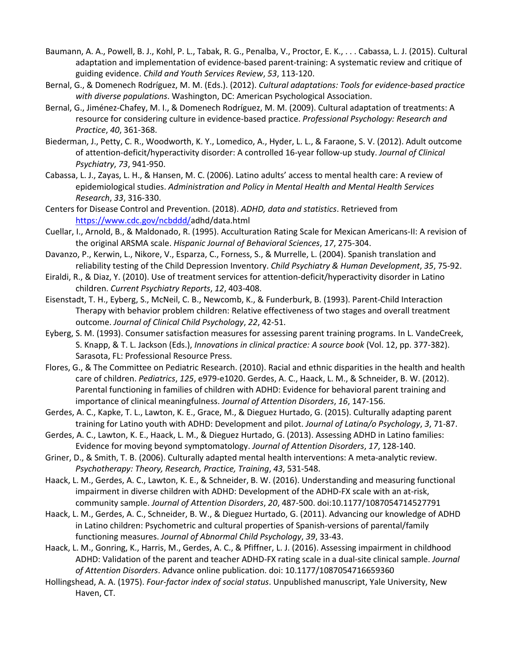- Baumann, A. A., Powell, B. J., Kohl, P. L., Tabak, R. G., Penalba, V., Proctor, E. K., . . . Cabassa, L. J. (2015). Cultural adaptation and implementation of evidence-based parent-training: A systematic review and critique of guiding evidence. *Child and Youth Services Review*, *53*, 113-120.
- Bernal, G., & Domenech Rodríguez, M. M. (Eds.). (2012). *Cultural adaptations: Tools for evidence-based practice with diverse populations*. Washington, DC: American Psychological Association.
- Bernal, G., Jiménez-Chafey, M. I., & Domenech Rodríguez, M. M. (2009). Cultural adaptation of treatments: A resource for considering culture in evidence-based practice. *Professional Psychology: Research and Practice*, *40*, 361-368.
- Biederman, J., Petty, C. R., Woodworth, K. Y., Lomedico, A., Hyder, L. L., & Faraone, S. V. (2012). Adult outcome of attention-deficit/hyperactivity disorder: A controlled 16-year follow-up study. *Journal of Clinical Psychiatry*, *73*, 941-950.
- Cabassa, L. J., Zayas, L. H., & Hansen, M. C. (2006). Latino adults' access to mental health care: A review of epidemiological studies. *Administration and Policy in Mental Health and Mental Health Services Research*, *33*, 316-330.
- Centers for Disease Control and Prevention. (2018). *ADHD, data and statistics*. Retrieved from [https://www.cdc.gov/ncbddd/a](https://www.cdc.gov/ncbddd/)dhd/data.html
- Cuellar, I., Arnold, B., & Maldonado, R. (1995). Acculturation Rating Scale for Mexican Americans-II: A revision of the original ARSMA scale. *Hispanic Journal of Behavioral Sciences*, *17*, 275-304.
- Davanzo, P., Kerwin, L., Nikore, V., Esparza, C., Forness, S., & Murrelle, L. (2004). Spanish translation and reliability testing of the Child Depression Inventory. *Child Psychiatry & Human Development*, *35*, 75-92.
- Eiraldi, R., & Diaz, Y. (2010). Use of treatment services for attention-deficit/hyperactivity disorder in Latino children. *Current Psychiatry Reports*, *12*, 403-408.
- Eisenstadt, T. H., Eyberg, S., McNeil, C. B., Newcomb, K., & Funderburk, B. (1993). Parent-Child Interaction Therapy with behavior problem children: Relative effectiveness of two stages and overall treatment outcome. *Journal of Clinical Child Psychology*, *22*, 42-51.
- Eyberg, S. M. (1993). Consumer satisfaction measures for assessing parent training programs. In L. VandeCreek, S. Knapp, & T. L. Jackson (Eds.), *Innovations in clinical practice: A source book* (Vol. 12, pp. 377-382). Sarasota, FL: Professional Resource Press.
- Flores, G., & The Committee on Pediatric Research. (2010). Racial and ethnic disparities in the health and health care of children. *Pediatrics*, *125*, e979-e1020. Gerdes, A. C., Haack, L. M., & Schneider, B. W. (2012). Parental functioning in families of children with ADHD: Evidence for behavioral parent training and importance of clinical meaningfulness. *Journal of Attention Disorders*, *16*, 147-156.
- Gerdes, A. C., Kapke, T. L., Lawton, K. E., Grace, M., & Dieguez Hurtado, G. (2015). Culturally adapting parent training for Latino youth with ADHD: Development and pilot. *Journal of Latina/o Psychology*, *3*, 71-87.
- Gerdes, A. C., Lawton, K. E., Haack, L. M., & Dieguez Hurtado, G. (2013). Assessing ADHD in Latino families: Evidence for moving beyond symptomatology. *Journal of Attention Disorders*, *17*, 128-140.
- Griner, D., & Smith, T. B. (2006). Culturally adapted mental health interventions: A meta-analytic review. *Psychotherapy: Theory, Research, Practice, Training*, *43*, 531-548.
- Haack, L. M., Gerdes, A. C., Lawton, K. E., & Schneider, B. W. (2016). Understanding and measuring functional impairment in diverse children with ADHD: Development of the ADHD-FX scale with an at-risk, community sample. *Journal of Attention Disorders*, *20*, 487-500. doi:10.1177/1087054714527791
- Haack, L. M., Gerdes, A. C., Schneider, B. W., & Dieguez Hurtado, G. (2011). Advancing our knowledge of ADHD in Latino children: Psychometric and cultural properties of Spanish-versions of parental/family functioning measures. *Journal of Abnormal Child Psychology*, *39*, 33-43.
- Haack, L. M., Gonring, K., Harris, M., Gerdes, A. C., & Pfiffner, L. J. (2016). Assessing impairment in childhood ADHD: Validation of the parent and teacher ADHD-FX rating scale in a dual-site clinical sample. *Journal of Attention Disorders*. Advance online publication. doi: 10.1177/1087054716659360
- Hollingshead, A. A. (1975). *Four-factor index of social status*. Unpublished manuscript, Yale University, New Haven, CT.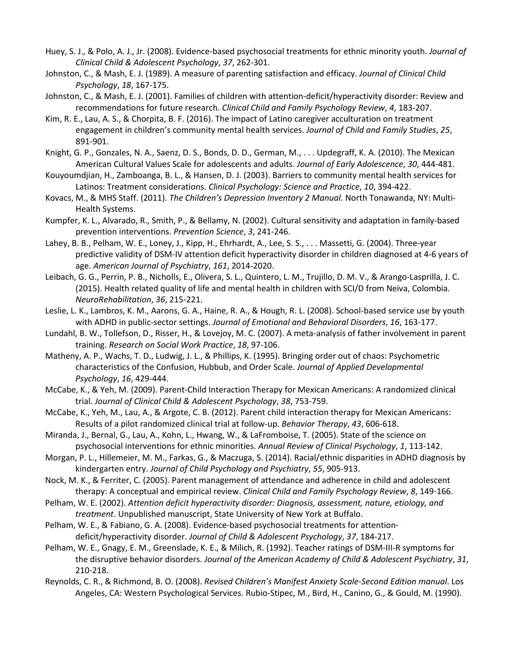- Huey, S. J., & Polo, A. J., Jr. (2008). Evidence-based psychosocial treatments for ethnic minority youth. *Journal of Clinical Child & Adolescent Psychology*, *37*, 262-301.
- Johnston, C., & Mash, E. J. (1989). A measure of parenting satisfaction and efficacy. *Journal of Clinical Child Psychology*, *18*, 167-175.
- Johnston, C., & Mash, E. J. (2001). Families of children with attention-deficit/hyperactivity disorder: Review and recommendations for future research. *Clinical Child and Family Psychology Review*, *4*, 183-207.
- Kim, R. E., Lau, A. S., & Chorpita, B. F. (2016). The impact of Latino caregiver acculturation on treatment engagement in children's community mental health services. *Journal of Child and Family Studies*, *25*, 891-901.
- Knight, G. P., Gonzales, N. A., Saenz, D. S., Bonds, D. D., German, M., . . . Updegraff, K. A. (2010). The Mexican American Cultural Values Scale for adolescents and adults. *Journal of Early Adolescence*, *30*, 444-481.
- Kouyoumdjian, H., Zamboanga, B. L., & Hansen, D. J. (2003). Barriers to community mental health services for Latinos: Treatment considerations. *Clinical Psychology: Science and Practice*, *10*, 394-422.
- Kovacs, M., & MHS Staff. (2011). *The Children's Depression Inventory 2 Manual*. North Tonawanda, NY: Multi-Health Systems.
- Kumpfer, K. L., Alvarado, R., Smith, P., & Bellamy, N. (2002). Cultural sensitivity and adaptation in family-based prevention interventions. *Prevention Science*, *3*, 241-246.
- Lahey, B. B., Pelham, W. E., Loney, J., Kipp, H., Ehrhardt, A., Lee, S. S., . . . Massetti, G. (2004). Three-year predictive validity of DSM-IV attention deficit hyperactivity disorder in children diagnosed at 4-6 years of age. *American Journal of Psychiatry*, *161*, 2014-2020.
- Leibach, G. G., Perrin, P. B., Nicholls, E., Olivera, S. L., Quintero, L. M., Trujillo, D. M. V., & Arango-Lasprilla, J. C. (2015). Health related quality of life and mental health in children with SCI/D from Neiva, Colombia. *NeuroRehabilitation*, *36*, 215-221.
- Leslie, L. K., Lambros, K. M., Aarons, G. A., Haine, R. A., & Hough, R. L. (2008). School-based service use by youth with ADHD in public-sector settings. *Journal of Emotional and Behavioral Disorders*, *16*, 163-177.
- Lundahl, B. W., Tollefson, D., Risser, H., & Lovejoy, M. C. (2007). A meta-analysis of father involvement in parent training. *Research on Social Work Practice*, *18*, 97-106.
- Matheny, A. P., Wachs, T. D., Ludwig, J. L., & Phillips, K. (1995). Bringing order out of chaos: Psychometric characteristics of the Confusion, Hubbub, and Order Scale. *Journal of Applied Developmental Psychology*, *16*, 429-444.
- McCabe, K., & Yeh, M. (2009). Parent-Child Interaction Therapy for Mexican Americans: A randomized clinical trial. *Journal of Clinical Child & Adolescent Psychology*, *38*, 753-759.
- McCabe, K., Yeh, M., Lau, A., & Argote, C. B. (2012). Parent child interaction therapy for Mexican Americans: Results of a pilot randomized clinical trial at follow-up. *Behavior Therapy*, *43*, 606-618.
- Miranda, J., Bernal, G., Lau, A., Kohn, L., Hwang, W., & LaFromboise, T. (2005). State of the science on psychosocial interventions for ethnic minorities. *Annual Review of Clinical Psychology*, *1*, 113-142.
- Morgan, P. L., Hillemeier, M. M., Farkas, G., & Maczuga, S. (2014). Racial/ethnic disparities in ADHD diagnosis by kindergarten entry. *Journal of Child Psychology and Psychiatry*, *55*, 905-913.
- Nock, M. K., & Ferriter, C. (2005). Parent management of attendance and adherence in child and adolescent therapy: A conceptual and empirical review. *Clinical Child and Family Psychology Review*, *8*, 149-166.
- Pelham, W. E. (2002). *Attention deficit hyperactivity disorder: Diagnosis, assessment, nature, etiology, and treatment*. Unpublished manuscript, State University of New York at Buffalo.
- Pelham, W. E., & Fabiano, G. A. (2008). Evidence-based psychosocial treatments for attentiondeficit/hyperactivity disorder. *Journal of Child & Adolescent Psychology*, *37*, 184-217.
- Pelham, W. E., Gnagy, E. M., Greenslade, K. E., & Milich, R. (1992). Teacher ratings of DSM-III-R symptoms for the disruptive behavior disorders. *Journal of the American Academy of Child & Adolescent Psychiatry*, *31*, 210-218.
- Reynolds, C. R., & Richmond, B. O. (2008). *Revised Children's Manifest Anxiety Scale-Second Edition manual*. Los Angeles, CA: Western Psychological Services. Rubio-Stipec, M., Bird, H., Canino, G., & Gould, M. (1990).